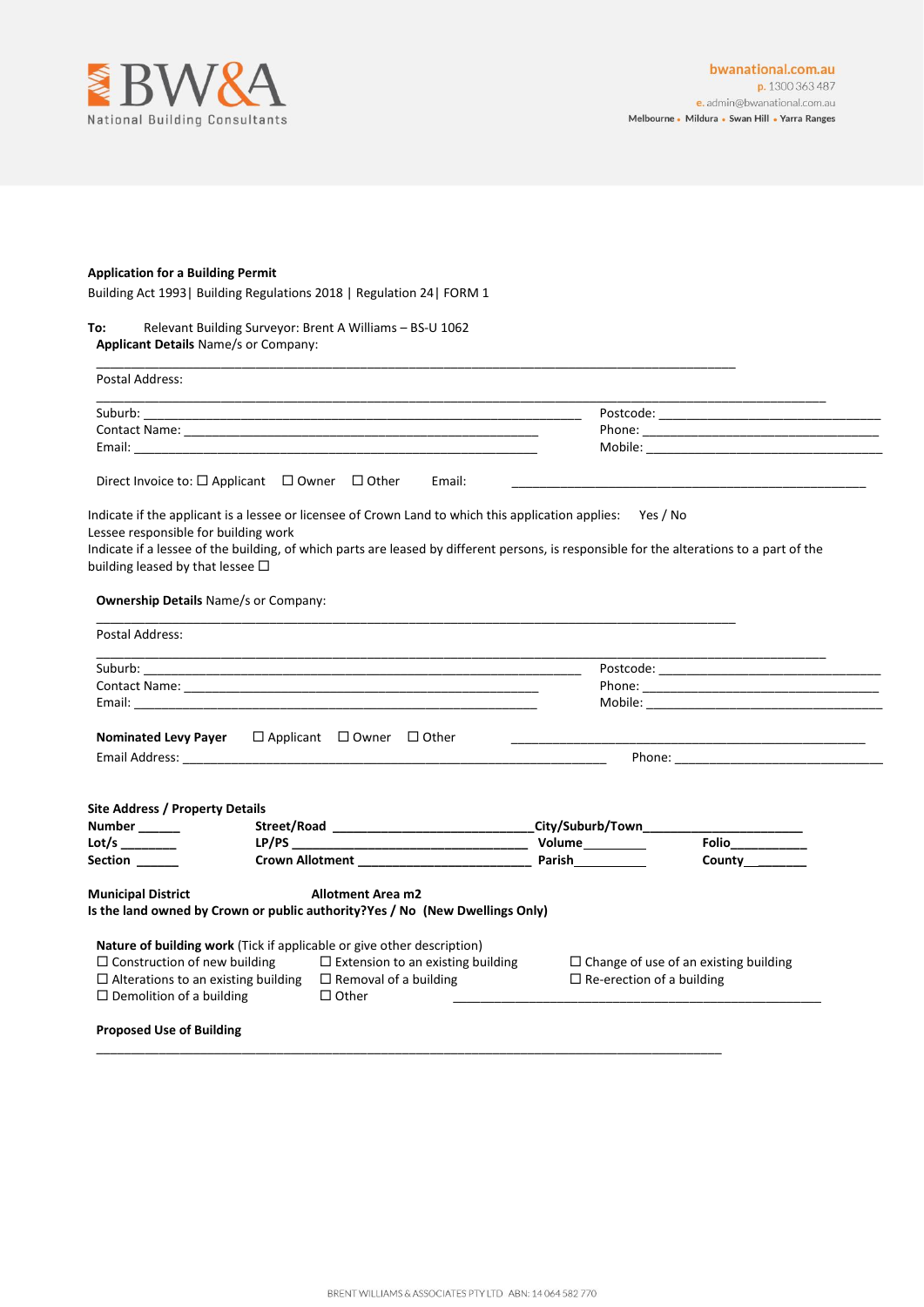

## **Application for a Building Permit**

Building Act 1993| Building Regulations 2018 | Regulation 24| FORM 1

## **To:** Relevant Building Surveyor: Brent A Williams – BS-U 1062 **Applicant Details** Name/s or Company:

| Email:                                                                                                                                                        |                                                                                                             |                                                                                                                                           |
|---------------------------------------------------------------------------------------------------------------------------------------------------------------|-------------------------------------------------------------------------------------------------------------|-------------------------------------------------------------------------------------------------------------------------------------------|
| Direct Invoice to: $\Box$ Applicant $\Box$ Owner $\Box$ Other                                                                                                 | Email:                                                                                                      |                                                                                                                                           |
|                                                                                                                                                               | Indicate if the applicant is a lessee or licensee of Crown Land to which this application applies: Yes / No |                                                                                                                                           |
| Lessee responsible for building work                                                                                                                          |                                                                                                             |                                                                                                                                           |
|                                                                                                                                                               |                                                                                                             | Indicate if a lessee of the building, of which parts are leased by different persons, is responsible for the alterations to a part of the |
| building leased by that lessee $\Box$                                                                                                                         |                                                                                                             |                                                                                                                                           |
| <b>Ownership Details Name/s or Company:</b>                                                                                                                   |                                                                                                             |                                                                                                                                           |
|                                                                                                                                                               |                                                                                                             |                                                                                                                                           |
| Postal Address:                                                                                                                                               |                                                                                                             |                                                                                                                                           |
|                                                                                                                                                               |                                                                                                             |                                                                                                                                           |
|                                                                                                                                                               |                                                                                                             |                                                                                                                                           |
|                                                                                                                                                               |                                                                                                             |                                                                                                                                           |
|                                                                                                                                                               |                                                                                                             |                                                                                                                                           |
|                                                                                                                                                               |                                                                                                             |                                                                                                                                           |
|                                                                                                                                                               |                                                                                                             |                                                                                                                                           |
|                                                                                                                                                               |                                                                                                             |                                                                                                                                           |
| <b>Nominated Levy Payer</b> $\Box$ Applicant $\Box$ Owner $\Box$ Other<br><b>Site Address / Property Details</b><br>Number ______<br>Lot/s _______<br>Section |                                                                                                             | _City/Suburb/Town_______<br>Folio<br>County <u>Counter</u>                                                                                |
|                                                                                                                                                               | <b>Allotment Area m2</b>                                                                                    |                                                                                                                                           |
|                                                                                                                                                               |                                                                                                             |                                                                                                                                           |
| <b>Municipal District</b>                                                                                                                                     | Is the land owned by Crown or public authority?Yes / No (New Dwellings Only)                                |                                                                                                                                           |
|                                                                                                                                                               |                                                                                                             |                                                                                                                                           |
|                                                                                                                                                               | $\Box$ Extension to an existing building                                                                    | $\Box$ Change of use of an existing building                                                                                              |
| Nature of building work (Tick if applicable or give other description)<br>$\Box$ Construction of new building<br>$\Box$ Alterations to an existing building   | $\Box$ Removal of a building                                                                                | $\Box$ Re-erection of a building                                                                                                          |

\_\_\_\_\_\_\_\_\_\_\_\_\_\_\_\_\_\_\_\_\_\_\_\_\_\_\_\_\_\_\_\_\_\_\_\_\_\_\_\_\_\_\_\_\_\_\_\_\_\_\_\_\_\_\_\_\_\_\_\_\_\_\_\_\_\_\_\_\_\_\_\_\_\_\_\_\_\_\_\_\_\_\_\_\_\_\_\_\_\_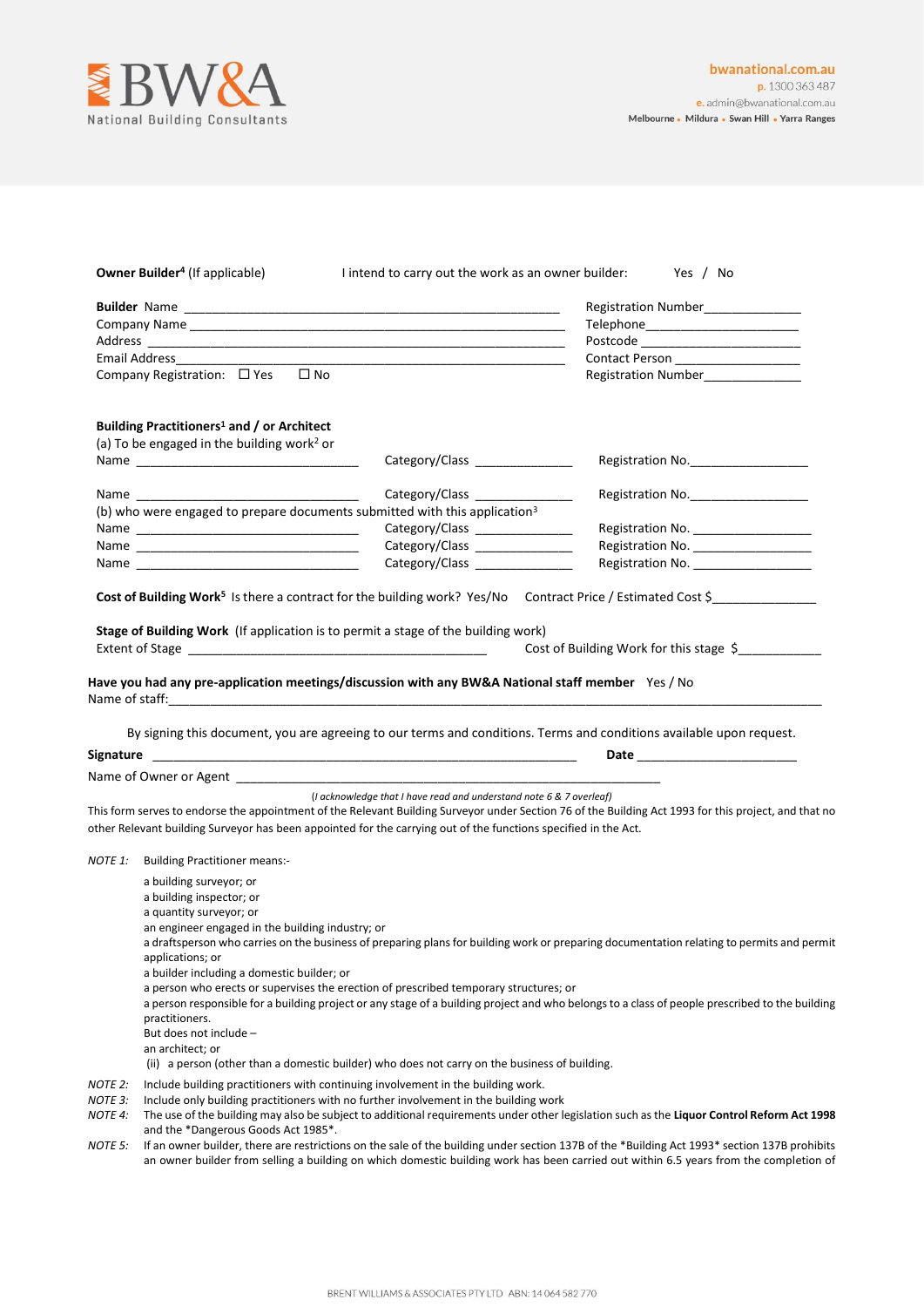

|                                          | <b>Owner Builder<sup>4</sup></b> (If applicable)                                                                                                                                                                                                                                                                                                                                                                                                                                                             | I intend to carry out the work as an owner builder:                 | Yes / No                                                                                                                                                                                                                       |  |
|------------------------------------------|--------------------------------------------------------------------------------------------------------------------------------------------------------------------------------------------------------------------------------------------------------------------------------------------------------------------------------------------------------------------------------------------------------------------------------------------------------------------------------------------------------------|---------------------------------------------------------------------|--------------------------------------------------------------------------------------------------------------------------------------------------------------------------------------------------------------------------------|--|
|                                          |                                                                                                                                                                                                                                                                                                                                                                                                                                                                                                              |                                                                     | Registration Number______________                                                                                                                                                                                              |  |
|                                          |                                                                                                                                                                                                                                                                                                                                                                                                                                                                                                              |                                                                     | Telephone__________________________                                                                                                                                                                                            |  |
|                                          |                                                                                                                                                                                                                                                                                                                                                                                                                                                                                                              |                                                                     |                                                                                                                                                                                                                                |  |
|                                          |                                                                                                                                                                                                                                                                                                                                                                                                                                                                                                              |                                                                     | Contact Person ___________________                                                                                                                                                                                             |  |
|                                          | $\square$ No<br>Company Registration: $\Box$ Yes                                                                                                                                                                                                                                                                                                                                                                                                                                                             |                                                                     | Registration Number______________                                                                                                                                                                                              |  |
|                                          | Building Practitioners <sup>1</sup> and / or Architect                                                                                                                                                                                                                                                                                                                                                                                                                                                       |                                                                     |                                                                                                                                                                                                                                |  |
|                                          | (a) To be engaged in the building work <sup>2</sup> or                                                                                                                                                                                                                                                                                                                                                                                                                                                       |                                                                     |                                                                                                                                                                                                                                |  |
|                                          |                                                                                                                                                                                                                                                                                                                                                                                                                                                                                                              | Category/Class ______________                                       | Registration No.                                                                                                                                                                                                               |  |
|                                          | Name and the contract of the contract of the contract of the contract of the contract of the contract of the contract of the contract of the contract of the contract of the contract of the contract of the contract of the c                                                                                                                                                                                                                                                                               | Category/Class _______________                                      | Registration No.                                                                                                                                                                                                               |  |
|                                          | (b) who were engaged to prepare documents submitted with this application <sup>3</sup>                                                                                                                                                                                                                                                                                                                                                                                                                       |                                                                     |                                                                                                                                                                                                                                |  |
|                                          |                                                                                                                                                                                                                                                                                                                                                                                                                                                                                                              | Category/Class ________________                                     | Registration No. _____________________                                                                                                                                                                                         |  |
|                                          |                                                                                                                                                                                                                                                                                                                                                                                                                                                                                                              | Category/Class ________________                                     | Registration No. _____________________                                                                                                                                                                                         |  |
|                                          |                                                                                                                                                                                                                                                                                                                                                                                                                                                                                                              | Category/Class _______________                                      | Registration No. ____________________                                                                                                                                                                                          |  |
|                                          | Cost of Building Work <sup>5</sup> Is there a contract for the building work? Yes/No Contract Price / Estimated Cost \$                                                                                                                                                                                                                                                                                                                                                                                      |                                                                     |                                                                                                                                                                                                                                |  |
|                                          | Stage of Building Work (If application is to permit a stage of the building work)                                                                                                                                                                                                                                                                                                                                                                                                                            |                                                                     | Cost of Building Work for this stage \$                                                                                                                                                                                        |  |
|                                          | By signing this document, you are agreeing to our terms and conditions. Terms and conditions available upon request.                                                                                                                                                                                                                                                                                                                                                                                         |                                                                     | Date and the contract of the contract of the contract of the contract of the contract of the contract of the contract of the contract of the contract of the contract of the contract of the contract of the contract of the c |  |
|                                          |                                                                                                                                                                                                                                                                                                                                                                                                                                                                                                              |                                                                     |                                                                                                                                                                                                                                |  |
|                                          | This form serves to endorse the appointment of the Relevant Building Surveyor under Section 76 of the Building Act 1993 for this project, and that no<br>other Relevant building Surveyor has been appointed for the carrying out of the functions specified in the Act.                                                                                                                                                                                                                                     | (I acknowledge that I have read and understand note 6 & 7 overleaf) |                                                                                                                                                                                                                                |  |
| NOTE 1:                                  | <b>Building Practitioner means:-</b>                                                                                                                                                                                                                                                                                                                                                                                                                                                                         |                                                                     |                                                                                                                                                                                                                                |  |
|                                          | a building surveyor; or<br>a building inspector; or<br>a quantity surveyor; or<br>an engineer engaged in the building industry; or<br>a draftsperson who carries on the business of preparing plans for building work or preparing documentation relating to permits and permit<br>applications; or<br>a builder including a domestic builder; or                                                                                                                                                            |                                                                     |                                                                                                                                                                                                                                |  |
|                                          | a person who erects or supervises the erection of prescribed temporary structures; or<br>a person responsible for a building project or any stage of a building project and who belongs to a class of people prescribed to the building<br>practitioners.<br>But does not include -<br>an architect; or<br>(ii) a person (other than a domestic builder) who does not carry on the business of building.                                                                                                     |                                                                     |                                                                                                                                                                                                                                |  |
| NOTE 2:<br>NOTE 3:<br>NOTE 4:<br>NOTE 5: | Include building practitioners with continuing involvement in the building work.<br>Include only building practitioners with no further involvement in the building work<br>The use of the building may also be subject to additional requirements under other legislation such as the Liquor Control Reform Act 1998<br>and the *Dangerous Goods Act 1985*.<br>If an owner builder, there are restrictions on the sale of the building under section 137B of the *Building Act 1993* section 137B prohibits |                                                                     |                                                                                                                                                                                                                                |  |
|                                          | an owner builder from selling a building on which domestic building work has been carried out within 6.5 years from the completion of                                                                                                                                                                                                                                                                                                                                                                        |                                                                     |                                                                                                                                                                                                                                |  |